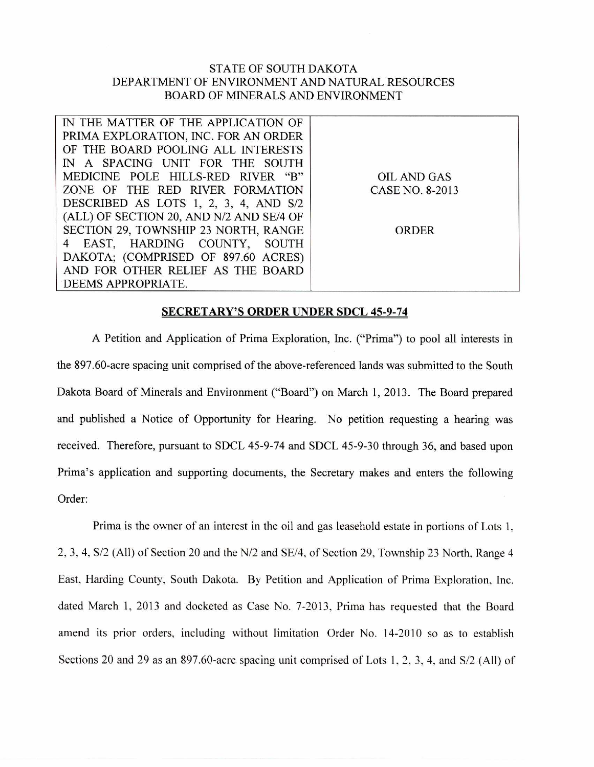## STATE OF SOUTH DAKOTA DEPARTMENT OF ENVIRONMENT AND NATURAL RESOURCES BOARD OF MINERALS AND ENVIRONMENT

| IN THE MATTER OF THE APPLICATION OF      |                    |
|------------------------------------------|--------------------|
| PRIMA EXPLORATION, INC. FOR AN ORDER     |                    |
| OF THE BOARD POOLING ALL INTERESTS       |                    |
| IN A SPACING UNIT FOR THE SOUTH          |                    |
| MEDICINE POLE HILLS-RED RIVER "B"        | <b>OIL AND GAS</b> |
| ZONE OF THE RED RIVER FORMATION          | CASE NO. 8-2013    |
| DESCRIBED AS LOTS 1, 2, 3, 4, AND S/2    |                    |
| (ALL) OF SECTION 20, AND N/2 AND SE/4 OF |                    |
| SECTION 29, TOWNSHIP 23 NORTH, RANGE     | ORDER              |
| 4 EAST, HARDING COUNTY, SOUTH            |                    |
| DAKOTA; (COMPRISED OF 897.60 ACRES)      |                    |
| AND FOR OTHER RELIEF AS THE BOARD        |                    |
| DEEMS APPROPRIATE.                       |                    |

## **SECRETARY'S ORDER UNDER SDCL 45-9-74**

A Petition and Application of Prima Exploration, Inc. ("Prima") to pool all interests in the 897.60-acre spacing unit comprised of the above-referenced lands was submitted to the South Dakota Board of Minerals and Environment ("Board") on March 1, 2013. The Board prepared and published a Notice of Opportunity for Hearing. No petition requesting a hearing was received. Therefore, pursuant to SDCL 45-9-74 and SDCL 45-9-30 through 36, and based upon Prima's application and supporting documents, the Secretary makes and enters the following Order:

Prima is the owner of an interest in the oil and gas leasehold estate in portions of Lots 1, 2, 3, 4, S/2 (All) of Section 20 and the N/2 and SE/4, of Section 29, Township 23 North, Range 4 East, Harding County, South Dakota. By Petition and Application of Prima Exploration, Inc. dated March 1, 2013 and docketed as Case No. 7-2013, Prima has requested that the Board amend its prior orders, including without limitation Order No. 14-2010 so as to establish Sections 20 and 29 as an 897.60-acre spacing unit comprised of Lots 1, 2, 3, 4. and S/2 (All) of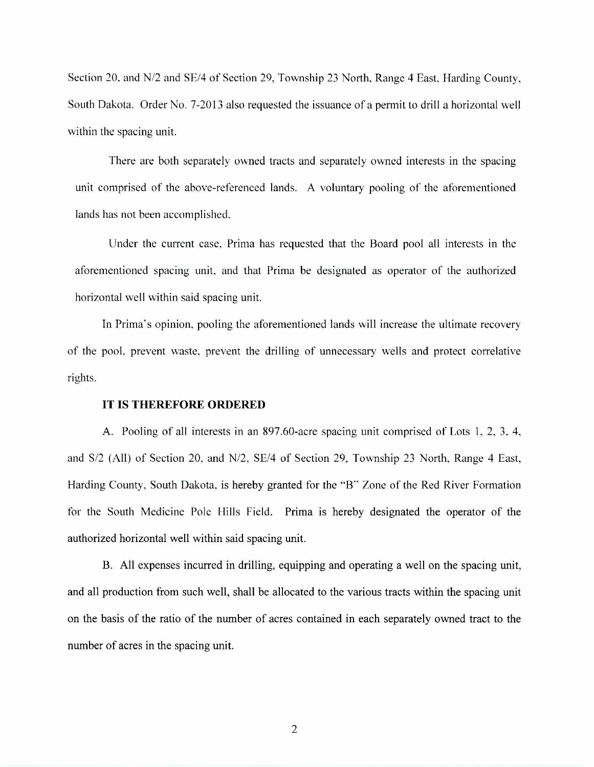Section 20, and N/2 and SE/4 of Section 29, Township 23 North, Range 4 East, Harding County, South Dakota. Order No. 7-2013 also requested the issuance of a permit to drill a horizontal well within the spacing unit.

There are both separately owned tracts and separately owned interests in the spacing unit comprised of the above-referenced lands. A voluntary pooling of the aforementioned lands has not been accomplished.

Under the current case, Prima has requested that the Board pool all interests in the aforementioned spacing unit, and that Prima be designated as operator of the authorized horizontal well within said spacing unit.

In Prima's opinion, pooling the aforementioned lands will increase the ultimate recovery of the pool, prevent waste, prevent the drilling of unnecessary wells and protect correlative rights.

## **IT IS THEREFORE ORDERED**

A. Pooling of all interests in an 897.60-acre spacing unit comprised of Lots 1, 2, 3, 4, and S/2 (All) of Section 20, and N/2, SE/4 of Section 29, Township 23 North, Range 4 East, Harding County, South Dakota, is hereby granted for the "B" Zone of the Red River Formation for the South Medicine Pole Hills Field. Prima is hereby designated the operator of the authorized horizontal well within said spacing unit.

B. All expenses incurred in drilling, equipping and operating a well on the spacing unit, and all production from such well, shall be allocated to the various tracts within the spacing unit on the basis of the ratio of the number of acres contained in each separately owned tract to the number of acres in the spacing unit.

2